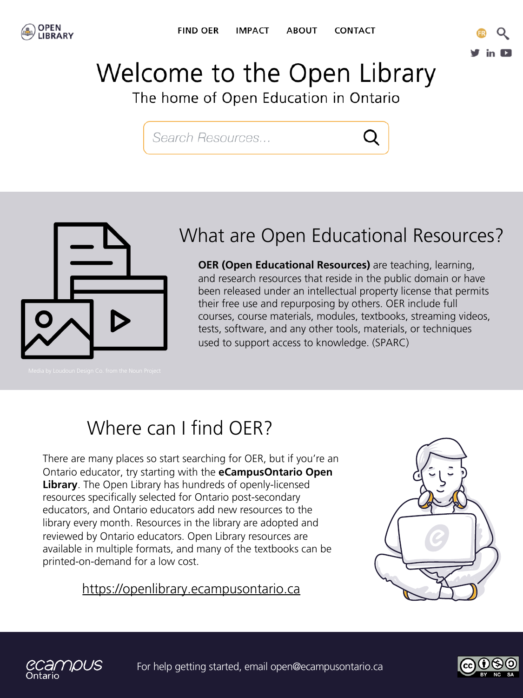



# **Welcome to the Open Library**

The home of Open Education in Ontario

[ Search Resources ...





#### What are Open Educational Resources?

**OER (Open Educational Resources)** are teaching, learning, and research resources that reside in the public domain or have been released under an intellectual property license that permits their free use and repurposing by others. OER include full courses, course materials, modules, textbooks, streaming videos, tests, software, and any other tools, materials, or techniques used to support access to knowledge. (SPARC)

### Where can I find OER?

There are many places so start searching for OER, but if you're an Ontario educator, try starting with the **eCampusOntario Open Library**. The Open Library has hundreds of openly-licensed resources specifically selected for Ontario post-secondary educators, and Ontario educators add new resources to the library every month. Resources in the library are adopted and reviewed by Ontario educators. Open Library resources are available in multiple formats, and many of the textbooks can be printed-on-demand for a low cost.

#### https://openlibrary.ecampusontario.ca